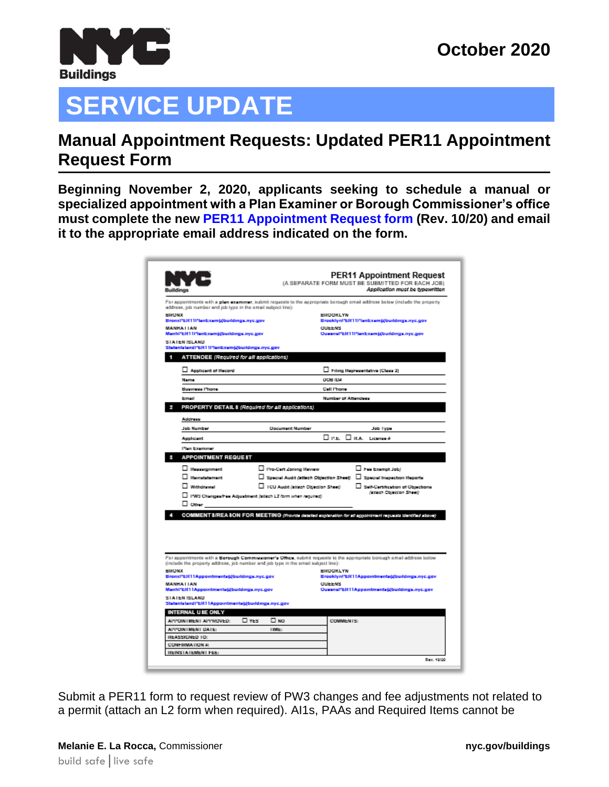

## **SERVICE UPDATE**

## **Manual Appointment Requests: Updated PER11 Appointment Request Form**

**Beginning November 2, 2020, applicants seeking to schedule a manual or specialized appointment with a Plan Examiner or Borough Commissioner's office must complete the new [PER11 Appointment Request form](https://www1.nyc.gov/assets/buildings/pdf/per11.pdf) (Rev. 10/20) and email it to the appropriate email address indicated on the form.**

| <b>Buildings</b>                                                                   |                                      | <b>PER11 Appointment Request</b><br>(A SEPARATE FORM MUST BE SUBMITTED FOR EACH JOB)<br>Application must be typewritten     |
|------------------------------------------------------------------------------------|--------------------------------------|-----------------------------------------------------------------------------------------------------------------------------|
| address, job number and job type in the email subject line):                       |                                      | For appointments with a plan examinar, submit requests to the appropriate borough omail address below (include the property |
| <b>BIFONX</b>                                                                      |                                      | <b>BIRDOKLYN</b>                                                                                                            |
| BronxPER11Planbxamjabuildings.nyc.gov<br><b>MANHAILAN</b>                          |                                      | BrooklynPERT IPlanExam(gbuildings.nyc.gov<br><b>CILIEENS</b>                                                                |
| Manhi'ER11PlanExam@buildings.nyc.gov                                               |                                      | Queenal*ER11FlanExam@buildings.nyc.gov                                                                                      |
| <b>STATEN ISLAND</b><br>Statenisland/'ER11I'lanEzam@buildings.nyc.gov              |                                      |                                                                                                                             |
| ATTENDEE (Required for all applications)                                           |                                      |                                                                                                                             |
| Applicant of Hecord                                                                |                                      | Fring Representative (Class 2)                                                                                              |
| Name                                                                               | DOB IDA                              |                                                                                                                             |
| Business Phone                                                                     |                                      | Cell Phone                                                                                                                  |
| <b>Forest</b>                                                                      |                                      | Number of Attendees                                                                                                         |
| PROPERTY DETAIL 8 (Required for all applications)                                  |                                      |                                                                                                                             |
| Address                                                                            |                                      |                                                                                                                             |
| <b>Job Number</b>                                                                  | <b>Document Number</b>               | Job Type                                                                                                                    |
| Applicant                                                                          |                                      | DIPLE, DIRA, License A                                                                                                      |
| Plan Examiner                                                                      |                                      |                                                                                                                             |
| <b>APPOINTMENT REQUEST</b>                                                         |                                      |                                                                                                                             |
| □ Heatsignment                                                                     | □ Pro-Cert Zoning Review             | $\Box$ here Exempt Job)                                                                                                     |
| $\Box$ Herrstebenert                                                               |                                      | □ Special Audit (attach Objection Sheet) □ Special Impaction Reports                                                        |
| Withdrawal                                                                         | U ICU Audit (stisch Objection Sheet) | Self-Certification of Objections                                                                                            |
| □ I'WS Changes/hee Adjustment (stisch L2 form when reguine)                        |                                      | <b><i>(stinch Objection Sheet)</i></b>                                                                                      |
| ⊟ cemer                                                                            |                                      |                                                                                                                             |
|                                                                                    |                                      | COMMENT S/REA SON FOR MEETING (Provide detailed explanation for all appointment requests identified above)                  |
| (include the property address, job number and job type in the email subject line): |                                      | For appointments with a Borough Communicative's Othes, submit requests to the appropriate borough email address below       |
| <b>BICONX</b>                                                                      |                                      | <b>BIRDOKLYN</b><br>Brooklynl*ER11Appointments@buildings.nyc.gov                                                            |
| BronxPER11Appointments@buildings.nyc.gov<br><b>MANHAI IAN</b>                      |                                      | <b>OUEENS</b>                                                                                                               |
| Manhi'ER11Appointmenta@buildings.nyc.gov                                           |                                      | Ouvernal*ER11Appointments@buildings.nyc.gov                                                                                 |
| <b>STATEN ISLAND</b><br>Statenisland!"ER11Appointments@buildings.nyc.gov           |                                      |                                                                                                                             |
| INTERNAL USE ONLY                                                                  |                                      |                                                                                                                             |
|                                                                                    | $\square$ YES<br>□ NO                | COMMENTS:                                                                                                                   |
| APPOINTMENT APPROVED:                                                              | IIME:                                |                                                                                                                             |
| APPOINTMENT DATE:                                                                  |                                      |                                                                                                                             |
| REASSIGNED TO:<br><b>CONFIRMATION &amp;</b>                                        |                                      |                                                                                                                             |

Submit a PER11 form to request review of PW3 changes and fee adjustments not related to a permit (attach an L2 form when required). AI1s, PAAs and Required Items cannot be